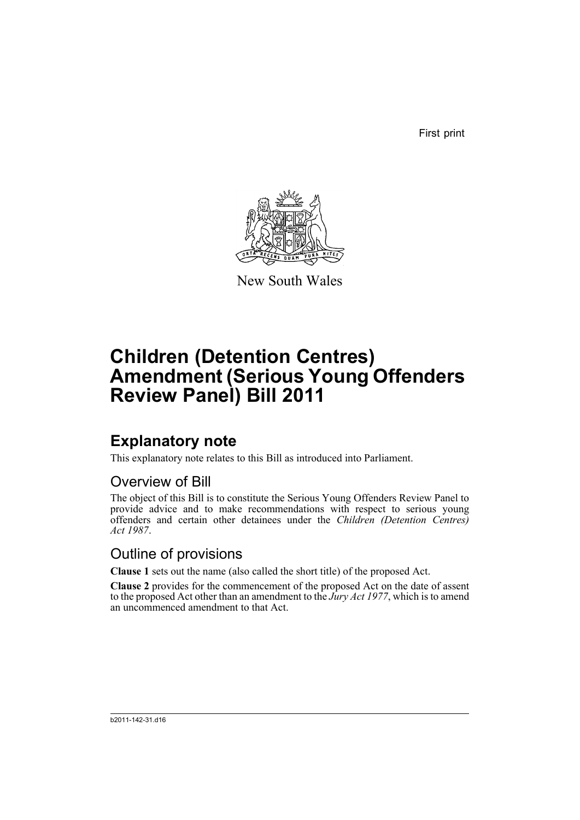First print



New South Wales

# **Children (Detention Centres) Amendment (Serious Young Offenders Review Panel) Bill 2011**

# **Explanatory note**

This explanatory note relates to this Bill as introduced into Parliament.

## Overview of Bill

The object of this Bill is to constitute the Serious Young Offenders Review Panel to provide advice and to make recommendations with respect to serious young offenders and certain other detainees under the *Children (Detention Centres) Act 1987*.

## Outline of provisions

**Clause 1** sets out the name (also called the short title) of the proposed Act.

**Clause 2** provides for the commencement of the proposed Act on the date of assent to the proposed Act other than an amendment to the *Jury Act 1977*, which is to amend an uncommenced amendment to that Act.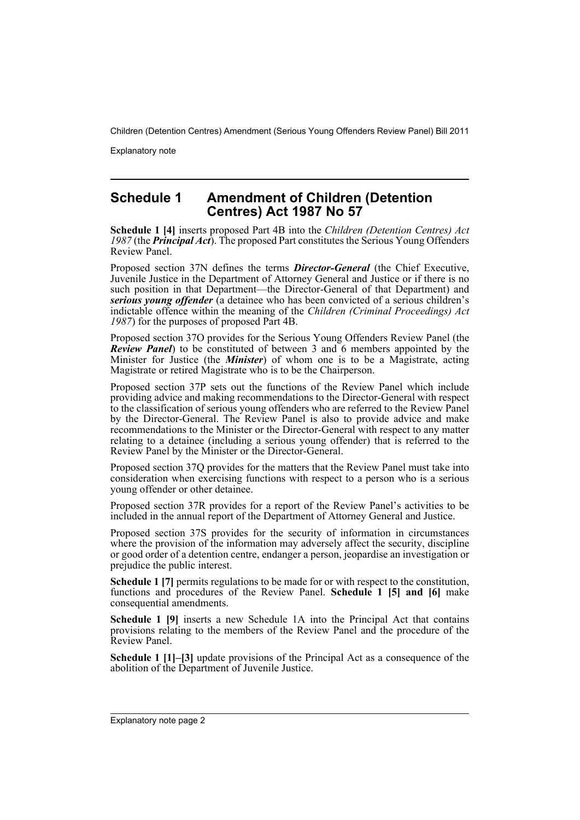Explanatory note

### **Schedule 1 Amendment of Children (Detention Centres) Act 1987 No 57**

**Schedule 1 [4]** inserts proposed Part 4B into the *Children (Detention Centres) Act 1987* (the *Principal Act*). The proposed Part constitutes the Serious Young Offenders Review Panel.

Proposed section 37N defines the terms *Director-General* (the Chief Executive, Juvenile Justice in the Department of Attorney General and Justice or if there is no such position in that Department—the Director-General of that Department) and *serious young offender* (a detainee who has been convicted of a serious children's indictable offence within the meaning of the *Children (Criminal Proceedings) Act 1987*) for the purposes of proposed Part 4B.

Proposed section 37O provides for the Serious Young Offenders Review Panel (the *Review Panel*) to be constituted of between 3 and 6 members appointed by the Minister for Justice (the *Minister*) of whom one is to be a Magistrate, acting Magistrate or retired Magistrate who is to be the Chairperson.

Proposed section 37P sets out the functions of the Review Panel which include providing advice and making recommendations to the Director-General with respect to the classification of serious young offenders who are referred to the Review Panel by the Director-General. The Review Panel is also to provide advice and make recommendations to the Minister or the Director-General with respect to any matter relating to a detainee (including a serious young offender) that is referred to the Review Panel by the Minister or the Director-General.

Proposed section 37Q provides for the matters that the Review Panel must take into consideration when exercising functions with respect to a person who is a serious young offender or other detainee.

Proposed section 37R provides for a report of the Review Panel's activities to be included in the annual report of the Department of Attorney General and Justice.

Proposed section 37S provides for the security of information in circumstances where the provision of the information may adversely affect the security, discipline or good order of a detention centre, endanger a person, jeopardise an investigation or prejudice the public interest.

**Schedule 1 [7]** permits regulations to be made for or with respect to the constitution, functions and procedures of the Review Panel. **Schedule 1 [5] and [6]** make consequential amendments.

**Schedule 1 [9]** inserts a new Schedule 1A into the Principal Act that contains provisions relating to the members of the Review Panel and the procedure of the Review Panel.

**Schedule 1 [1]–[3]** update provisions of the Principal Act as a consequence of the abolition of the Department of Juvenile Justice.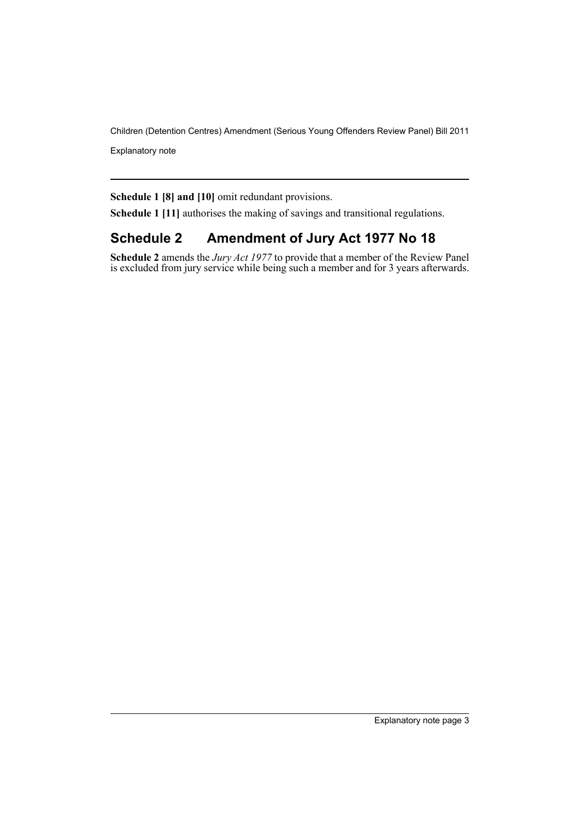Explanatory note

**Schedule 1 [8] and [10]** omit redundant provisions.

**Schedule 1 [11]** authorises the making of savings and transitional regulations.

## **Schedule 2 Amendment of Jury Act 1977 No 18**

**Schedule 2** amends the *Jury Act 1977* to provide that a member of the Review Panel is excluded from jury service while being such a member and for 3 years afterwards.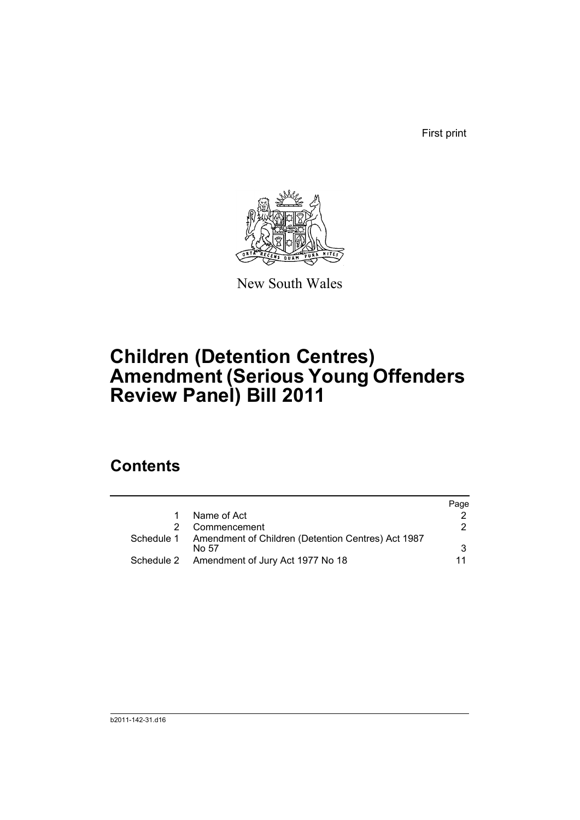First print



New South Wales

# **Children (Detention Centres) Amendment (Serious Young Offenders Review Panel) Bill 2011**

## **Contents**

|                                                                        | Page |
|------------------------------------------------------------------------|------|
| Name of Act                                                            |      |
| Commencement                                                           | 2    |
| Schedule 1 Amendment of Children (Detention Centres) Act 1987<br>No 57 | 3    |
| Schedule 2 Amendment of Jury Act 1977 No 18                            |      |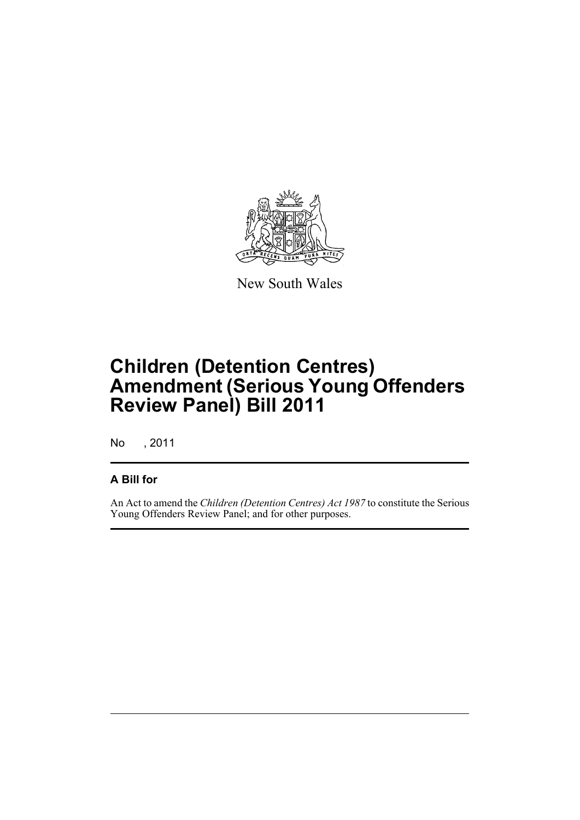

New South Wales

# **Children (Detention Centres) Amendment (Serious Young Offenders Review Panel) Bill 2011**

No , 2011

## **A Bill for**

An Act to amend the *Children (Detention Centres) Act 1987* to constitute the Serious Young Offenders Review Panel; and for other purposes.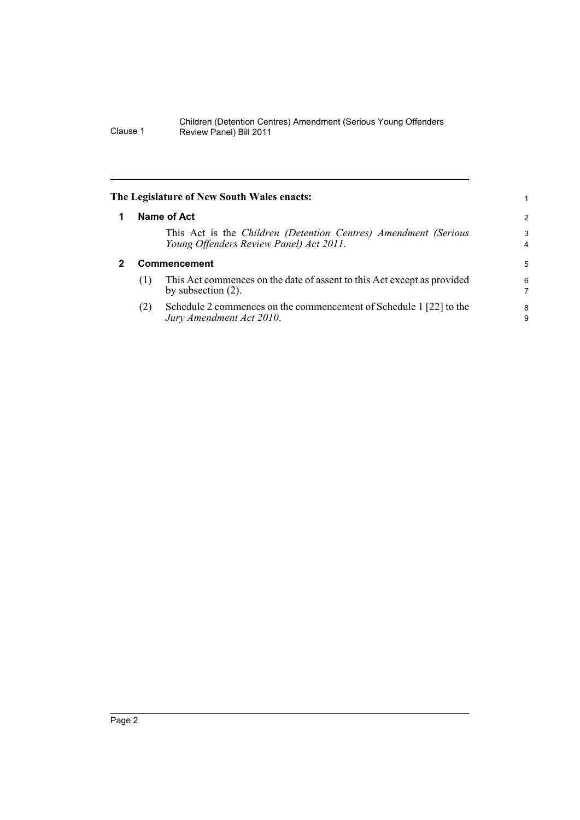<span id="page-7-1"></span><span id="page-7-0"></span>

| The Legislature of New South Wales enacts: |                     |                                                                                                            |                              |  |  |
|--------------------------------------------|---------------------|------------------------------------------------------------------------------------------------------------|------------------------------|--|--|
|                                            |                     | Name of Act                                                                                                | 2                            |  |  |
|                                            |                     | This Act is the Children (Detention Centres) Amendment (Serious<br>Young Offenders Review Panel) Act 2011. | 3<br>$\overline{\mathbf{4}}$ |  |  |
|                                            | <b>Commencement</b> |                                                                                                            |                              |  |  |
|                                            | (1)                 | This Act commences on the date of assent to this Act except as provided<br>by subsection $(2)$ .           | 6<br>7                       |  |  |
|                                            | (2)                 | Schedule 2 commences on the commencement of Schedule 1 [22] to the<br>Jury Amendment Act 2010.             | 8<br>9                       |  |  |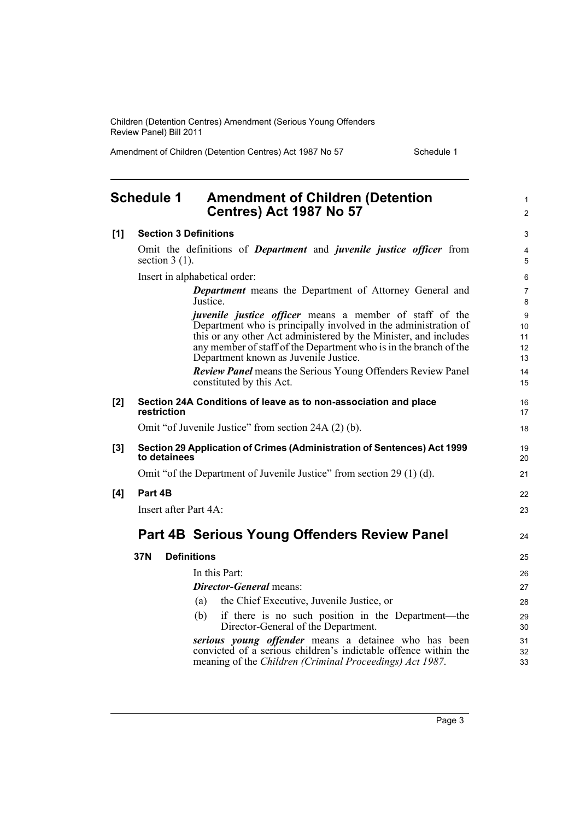Amendment of Children (Detention Centres) Act 1987 No 57 Schedule 1

1 2

## <span id="page-8-0"></span>**Schedule 1 Amendment of Children (Detention Centres) Act 1987 No 57**

| [1]   | <b>Section 3 Definitions</b>                                                                                                                                                                                                                                                                                                                                                              | 3                                              |
|-------|-------------------------------------------------------------------------------------------------------------------------------------------------------------------------------------------------------------------------------------------------------------------------------------------------------------------------------------------------------------------------------------------|------------------------------------------------|
|       | Omit the definitions of <i>Department</i> and <i>juvenile justice officer</i> from<br>section $3(1)$ .                                                                                                                                                                                                                                                                                    | $\overline{\mathbf{4}}$<br>5                   |
|       | Insert in alphabetical order:                                                                                                                                                                                                                                                                                                                                                             | 6                                              |
|       | <b>Department</b> means the Department of Attorney General and<br>Justice.                                                                                                                                                                                                                                                                                                                | $\overline{7}$<br>8                            |
|       | <i>juvenile justice officer</i> means a member of staff of the<br>Department who is principally involved in the administration of<br>this or any other Act administered by the Minister, and includes<br>any member of staff of the Department who is in the branch of the<br>Department known as Juvenile Justice.<br><b>Review Panel means the Serious Young Offenders Review Panel</b> | $\boldsymbol{9}$<br>10<br>11<br>12<br>13<br>14 |
|       | constituted by this Act.                                                                                                                                                                                                                                                                                                                                                                  | 15                                             |
| [2]   | Section 24A Conditions of leave as to non-association and place<br>restriction                                                                                                                                                                                                                                                                                                            | 16<br>17                                       |
|       | Omit "of Juvenile Justice" from section 24A (2) (b).                                                                                                                                                                                                                                                                                                                                      | 18                                             |
| $[3]$ | Section 29 Application of Crimes (Administration of Sentences) Act 1999<br>to detainees                                                                                                                                                                                                                                                                                                   | 19<br>20                                       |
|       | Omit "of the Department of Juvenile Justice" from section 29 (1) (d).                                                                                                                                                                                                                                                                                                                     | 21                                             |
| [4]   | Part 4B                                                                                                                                                                                                                                                                                                                                                                                   | 22                                             |
|       | Insert after Part 4A:                                                                                                                                                                                                                                                                                                                                                                     | 23                                             |
|       | Part 4B Serious Young Offenders Review Panel                                                                                                                                                                                                                                                                                                                                              | 24                                             |
|       | <b>Definitions</b><br>37N                                                                                                                                                                                                                                                                                                                                                                 | 25                                             |
|       | In this Part:                                                                                                                                                                                                                                                                                                                                                                             | 26                                             |
|       | <b>Director-General</b> means:                                                                                                                                                                                                                                                                                                                                                            | 27                                             |
|       | the Chief Executive, Juvenile Justice, or<br>(a)                                                                                                                                                                                                                                                                                                                                          | 28                                             |
|       | if there is no such position in the Department—the<br>(b)<br>Director-General of the Department.                                                                                                                                                                                                                                                                                          | 29<br>30                                       |
|       | serious young offender means a detainee who has been<br>convicted of a serious children's indictable offence within the<br>meaning of the Children (Criminal Proceedings) Act 1987.                                                                                                                                                                                                       | 31<br>32<br>33                                 |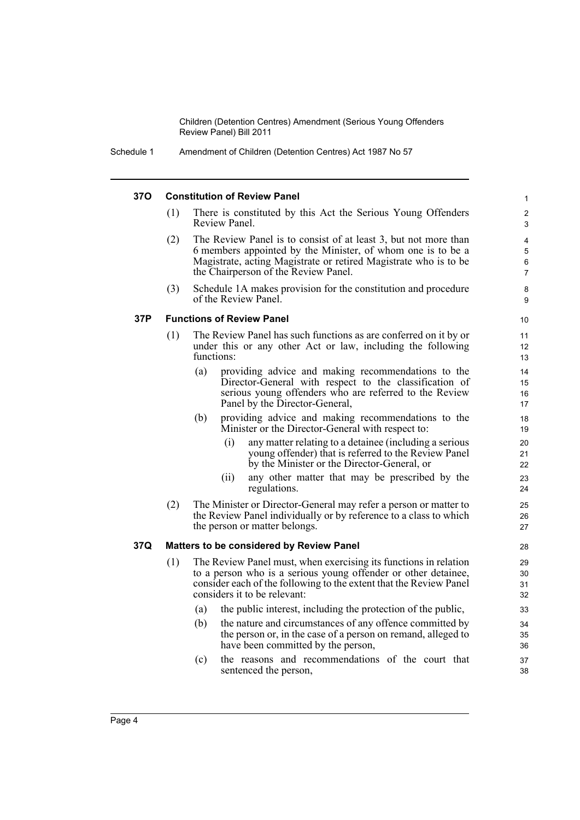Schedule 1 Amendment of Children (Detention Centres) Act 1987 No 57

#### **37O Constitution of Review Panel**

- (1) There is constituted by this Act the Serious Young Offenders Review Panel.
- (2) The Review Panel is to consist of at least 3, but not more than 6 members appointed by the Minister, of whom one is to be a Magistrate, acting Magistrate or retired Magistrate who is to be the Chairperson of the Review Panel.
- (3) Schedule 1A makes provision for the constitution and procedure of the Review Panel.

#### **37P Functions of Review Panel**

- (1) The Review Panel has such functions as are conferred on it by or under this or any other Act or law, including the following functions:
	- (a) providing advice and making recommendations to the Director-General with respect to the classification of serious young offenders who are referred to the Review Panel by the Director-General,
	- (b) providing advice and making recommendations to the Minister or the Director-General with respect to:
		- (i) any matter relating to a detainee (including a serious young offender) that is referred to the Review Panel by the Minister or the Director-General, or
		- (ii) any other matter that may be prescribed by the regulations.
- (2) The Minister or Director-General may refer a person or matter to the Review Panel individually or by reference to a class to which the person or matter belongs.

#### **37Q Matters to be considered by Review Panel**

- (1) The Review Panel must, when exercising its functions in relation to a person who is a serious young offender or other detainee, consider each of the following to the extent that the Review Panel considers it to be relevant:
	- (a) the public interest, including the protection of the public,
	- (b) the nature and circumstances of any offence committed by the person or, in the case of a person on remand, alleged to have been committed by the person,
	- (c) the reasons and recommendations of the court that sentenced the person,

9 10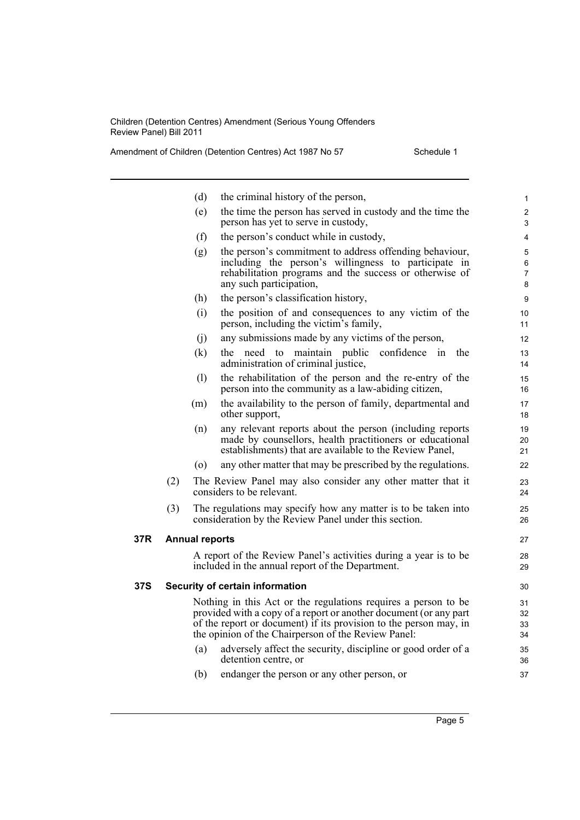|     |     | (d)                   | the criminal history of the person,                                                                                                                                                                                                                             | 1                    |
|-----|-----|-----------------------|-----------------------------------------------------------------------------------------------------------------------------------------------------------------------------------------------------------------------------------------------------------------|----------------------|
|     |     | (e)                   | the time the person has served in custody and the time the<br>person has yet to serve in custody,                                                                                                                                                               | $\overline{c}$<br>3  |
|     |     | (f)                   | the person's conduct while in custody,                                                                                                                                                                                                                          | 4                    |
|     |     | (g)                   | the person's commitment to address offending behaviour,<br>including the person's willingness to participate in<br>rehabilitation programs and the success or otherwise of<br>any such participation,                                                           | 5<br>6<br>7<br>8     |
|     |     | (h)                   | the person's classification history,                                                                                                                                                                                                                            | 9                    |
|     |     | (i)                   | the position of and consequences to any victim of the<br>person, including the victim's family,                                                                                                                                                                 | 10<br>11             |
|     |     | (i)                   | any submissions made by any victims of the person,                                                                                                                                                                                                              | 12                   |
|     |     | (k)                   | the need to maintain public confidence<br>the<br>1n<br>administration of criminal justice,                                                                                                                                                                      | 13<br>14             |
|     |     | (l)                   | the rehabilitation of the person and the re-entry of the<br>person into the community as a law-abiding citizen,                                                                                                                                                 | 15<br>16             |
|     |     | (m)                   | the availability to the person of family, departmental and<br>other support,                                                                                                                                                                                    | 17<br>18             |
|     |     | (n)                   | any relevant reports about the person (including reports<br>made by counsellors, health practitioners or educational<br>establishments) that are available to the Review Panel,                                                                                 | 19<br>20<br>21       |
|     |     | $\circ$               | any other matter that may be prescribed by the regulations.                                                                                                                                                                                                     | 22                   |
|     | (2) |                       | The Review Panel may also consider any other matter that it<br>considers to be relevant.                                                                                                                                                                        | 23<br>24             |
|     | (3) |                       | The regulations may specify how any matter is to be taken into<br>consideration by the Review Panel under this section.                                                                                                                                         | 25<br>26             |
| 37R |     | <b>Annual reports</b> |                                                                                                                                                                                                                                                                 | 27                   |
|     |     |                       | A report of the Review Panel's activities during a year is to be<br>included in the annual report of the Department.                                                                                                                                            | 28<br>29             |
| 37S |     |                       | Security of certain information                                                                                                                                                                                                                                 | 30                   |
|     |     |                       | Nothing in this Act or the regulations requires a person to be<br>provided with a copy of a report or another document (or any part<br>of the report or document) if its provision to the person may, in<br>the opinion of the Chairperson of the Review Panel: | 31<br>32<br>33<br>34 |
|     |     | (a)                   | adversely affect the security, discipline or good order of a<br>detention centre, or                                                                                                                                                                            | 35<br>36             |
|     |     | (b)                   | endanger the person or any other person, or                                                                                                                                                                                                                     | 37                   |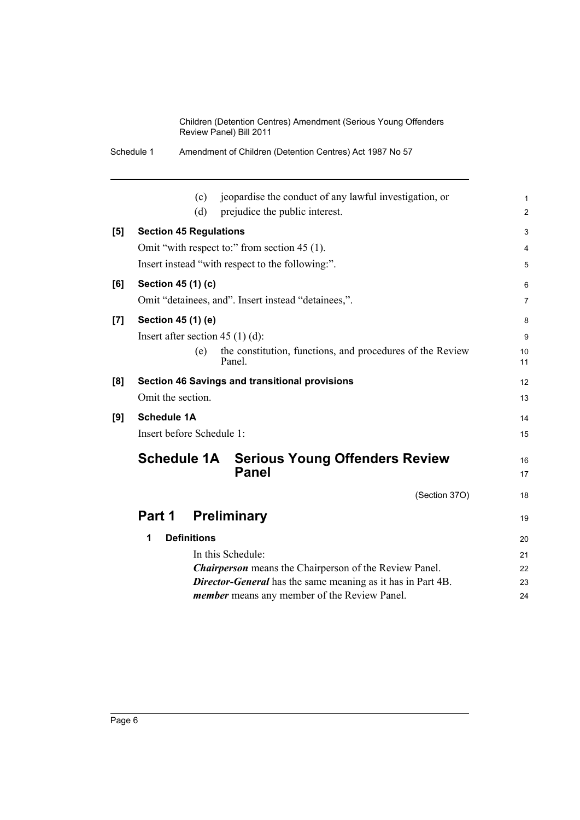|  | Schedule 1 | Amendment of Children (Detention Centres) Act 1987 No 57 |
|--|------------|----------------------------------------------------------|
|--|------------|----------------------------------------------------------|

|     | jeopardise the conduct of any lawful investigation, or<br>(c)               | $\mathbf{1}$            |
|-----|-----------------------------------------------------------------------------|-------------------------|
|     | (d)<br>prejudice the public interest.                                       | $\overline{2}$          |
| [5] | <b>Section 45 Regulations</b>                                               | 3                       |
|     | Omit "with respect to:" from section 45 (1).                                | $\overline{\mathbf{4}}$ |
|     | Insert instead "with respect to the following:".                            | 5                       |
| [6] | Section 45 (1) (c)                                                          | 6                       |
|     | Omit "detainees, and". Insert instead "detainees,".                         | $\overline{7}$          |
| [7] | Section 45 (1) (e)                                                          | 8                       |
|     | Insert after section $45(1)(d)$ :                                           | 9                       |
|     | the constitution, functions, and procedures of the Review<br>(e)<br>Panel.  | 10<br>11                |
| [8] | Section 46 Savings and transitional provisions                              | 12                      |
|     | Omit the section.                                                           | 13                      |
| [9] | <b>Schedule 1A</b>                                                          | 14                      |
|     | Insert before Schedule 1:                                                   | 15                      |
|     | <b>Schedule 1A</b><br><b>Serious Young Offenders Review</b><br><b>Panel</b> | 16<br>17                |
|     | (Section 37O)                                                               | 18                      |
|     | <b>Preliminary</b><br>Part 1                                                | 19                      |
|     | <b>Definitions</b><br>1                                                     | 20                      |
|     | In this Schedule:                                                           | 21                      |
|     | <b>Chairperson</b> means the Chairperson of the Review Panel.               | 22                      |
|     | <b>Director-General</b> has the same meaning as it has in Part 4B.          | 23                      |
|     | <i>member</i> means any member of the Review Panel.                         | 24                      |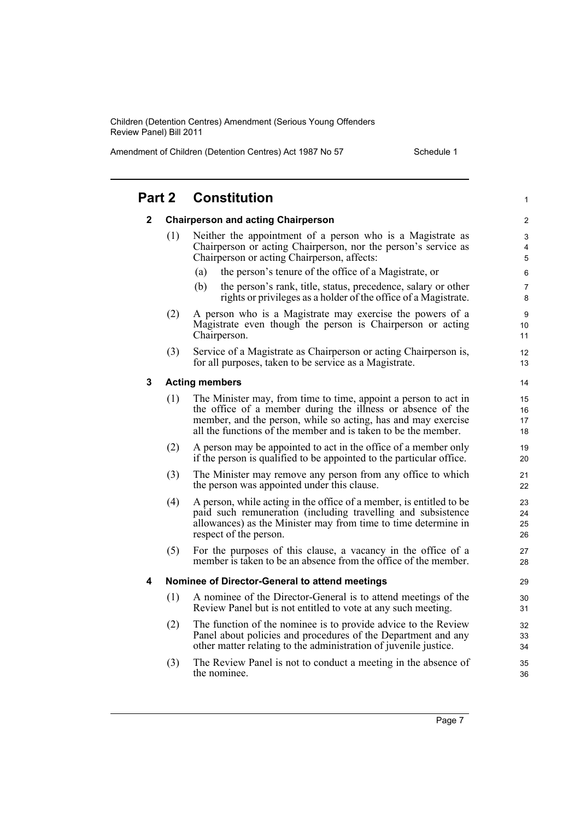Amendment of Children (Detention Centres) Act 1987 No 57 Schedule 1

| Part 2       |                                                | <b>Constitution</b>                                                                                                                                                                                                                                               |  |  |
|--------------|------------------------------------------------|-------------------------------------------------------------------------------------------------------------------------------------------------------------------------------------------------------------------------------------------------------------------|--|--|
| $\mathbf{2}$ |                                                | <b>Chairperson and acting Chairperson</b>                                                                                                                                                                                                                         |  |  |
|              | (1)                                            | Neither the appointment of a person who is a Magistrate as<br>Chairperson or acting Chairperson, nor the person's service as<br>Chairperson or acting Chairperson, affects:                                                                                       |  |  |
|              |                                                | the person's tenure of the office of a Magistrate, or<br>(a)                                                                                                                                                                                                      |  |  |
|              |                                                | (b)<br>the person's rank, title, status, precedence, salary or other<br>rights or privileges as a holder of the office of a Magistrate.                                                                                                                           |  |  |
|              | (2)                                            | A person who is a Magistrate may exercise the powers of a<br>Magistrate even though the person is Chairperson or acting<br>Chairperson.                                                                                                                           |  |  |
|              | (3)                                            | Service of a Magistrate as Chairperson or acting Chairperson is,<br>for all purposes, taken to be service as a Magistrate.                                                                                                                                        |  |  |
| 3            |                                                | <b>Acting members</b>                                                                                                                                                                                                                                             |  |  |
|              | (1)                                            | The Minister may, from time to time, appoint a person to act in<br>the office of a member during the illness or absence of the<br>member, and the person, while so acting, has and may exercise<br>all the functions of the member and is taken to be the member. |  |  |
|              | (2)                                            | A person may be appointed to act in the office of a member only<br>if the person is qualified to be appointed to the particular office.                                                                                                                           |  |  |
|              | (3)                                            | The Minister may remove any person from any office to which<br>the person was appointed under this clause.                                                                                                                                                        |  |  |
|              | (4)                                            | A person, while acting in the office of a member, is entitled to be<br>paid such remuneration (including travelling and subsistence<br>allowances) as the Minister may from time to time determine in<br>respect of the person.                                   |  |  |
|              | (5)                                            | For the purposes of this clause, a vacancy in the office of a<br>member is taken to be an absence from the office of the member.                                                                                                                                  |  |  |
| 4            | Nominee of Director-General to attend meetings |                                                                                                                                                                                                                                                                   |  |  |
|              | (1)                                            | A nominee of the Director-General is to attend meetings of the<br>Review Panel but is not entitled to vote at any such meeting.                                                                                                                                   |  |  |
|              | (2)                                            | The function of the nominee is to provide advice to the Review<br>Panel about policies and procedures of the Department and any<br>other matter relating to the administration of juvenile justice.                                                               |  |  |
|              | (3)                                            | The Review Panel is not to conduct a meeting in the absence of<br>the nominee.                                                                                                                                                                                    |  |  |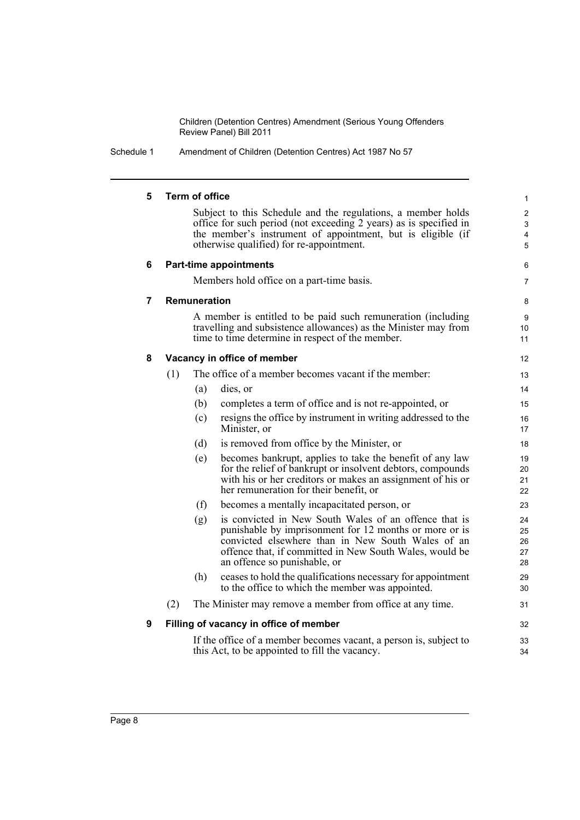Schedule 1 Amendment of Children (Detention Centres) Act 1987 No 57

| 5              |     | <b>Term of office</b> |                                                                                                                                                                                                                                                                 |                            |
|----------------|-----|-----------------------|-----------------------------------------------------------------------------------------------------------------------------------------------------------------------------------------------------------------------------------------------------------------|----------------------------|
|                |     |                       | Subject to this Schedule and the regulations, a member holds<br>office for such period (not exceeding 2 years) as is specified in<br>the member's instrument of appointment, but is eligible (if<br>otherwise qualified) for re-appointment.                    | $\overline{\mathbf{4}}$    |
| 6              |     |                       | <b>Part-time appointments</b>                                                                                                                                                                                                                                   | 6                          |
|                |     |                       | Members hold office on a part-time basis.                                                                                                                                                                                                                       | 7                          |
| $\overline{7}$ |     | <b>Remuneration</b>   |                                                                                                                                                                                                                                                                 | 8                          |
|                |     |                       | A member is entitled to be paid such remuneration (including<br>travelling and subsistence allowances) as the Minister may from<br>time to time determine in respect of the member.                                                                             | 9<br>10<br>11              |
| 8              |     |                       | Vacancy in office of member                                                                                                                                                                                                                                     | $12 \overline{ }$          |
|                | (1) |                       | The office of a member becomes vacant if the member:                                                                                                                                                                                                            | 13                         |
|                |     | (a)                   | dies, or                                                                                                                                                                                                                                                        | 14                         |
|                |     | (b)                   | completes a term of office and is not re-appointed, or                                                                                                                                                                                                          | 15                         |
|                |     | (c)                   | resigns the office by instrument in writing addressed to the<br>Minister, or                                                                                                                                                                                    | 16<br>17                   |
|                |     | (d)                   | is removed from office by the Minister, or                                                                                                                                                                                                                      | 18                         |
|                |     | (e)                   | becomes bankrupt, applies to take the benefit of any law<br>for the relief of bankrupt or insolvent debtors, compounds<br>with his or her creditors or makes an assignment of his or<br>her remuneration for their benefit, or                                  | 19<br>20<br>21<br>22       |
|                |     | (f)                   | becomes a mentally incapacitated person, or                                                                                                                                                                                                                     | 23                         |
|                |     | (g)                   | is convicted in New South Wales of an offence that is<br>punishable by imprisonment for 12 months or more or is<br>convicted elsewhere than in New South Wales of an<br>offence that, if committed in New South Wales, would be<br>an offence so punishable, or | 24<br>25<br>26<br>27<br>28 |
|                |     | (h)                   | ceases to hold the qualifications necessary for appointment<br>to the office to which the member was appointed.                                                                                                                                                 | 29<br>30                   |
|                | (2) |                       | The Minister may remove a member from office at any time.                                                                                                                                                                                                       | 31                         |
| 9              |     |                       | Filling of vacancy in office of member                                                                                                                                                                                                                          | 32                         |
|                |     |                       | If the office of a member becomes vacant, a person is, subject to<br>this Act, to be appointed to fill the vacancy.                                                                                                                                             | 33<br>34                   |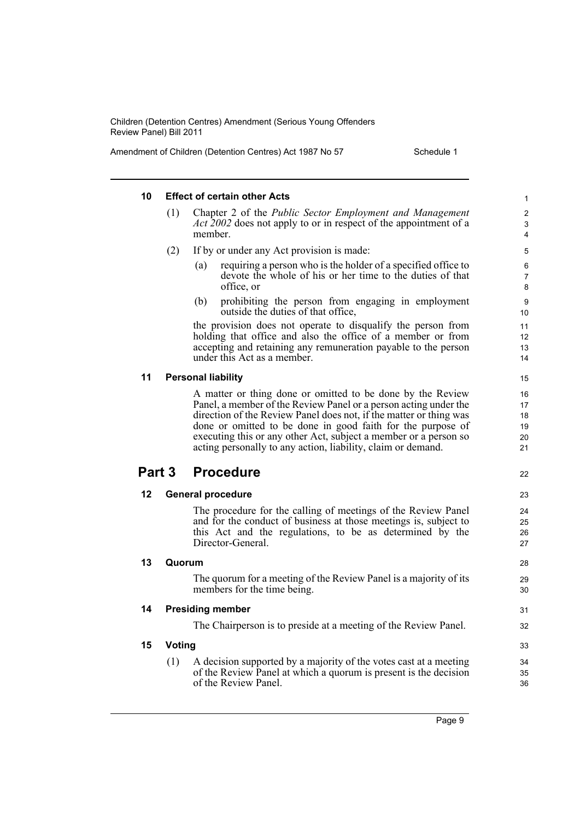Amendment of Children (Detention Centres) Act 1987 No 57 Schedule 1

|    |        | <b>Effect of certain other Acts</b>                                                                                                                                                                                                                                                                                                                                                                     |  |
|----|--------|---------------------------------------------------------------------------------------------------------------------------------------------------------------------------------------------------------------------------------------------------------------------------------------------------------------------------------------------------------------------------------------------------------|--|
|    | (1)    | Chapter 2 of the <i>Public Sector Employment and Management</i><br><i>Act 2002</i> does not apply to or in respect of the appointment of a<br>member.                                                                                                                                                                                                                                                   |  |
|    | (2)    | If by or under any Act provision is made:                                                                                                                                                                                                                                                                                                                                                               |  |
|    |        | requiring a person who is the holder of a specified office to<br>(a)<br>devote the whole of his or her time to the duties of that<br>office, or                                                                                                                                                                                                                                                         |  |
|    |        | prohibiting the person from engaging in employment<br>(b)<br>outside the duties of that office,                                                                                                                                                                                                                                                                                                         |  |
|    |        | the provision does not operate to disqualify the person from<br>holding that office and also the office of a member or from<br>accepting and retaining any remuneration payable to the person<br>under this Act as a member.                                                                                                                                                                            |  |
| 11 |        | <b>Personal liability</b>                                                                                                                                                                                                                                                                                                                                                                               |  |
|    |        | A matter or thing done or omitted to be done by the Review<br>Panel, a member of the Review Panel or a person acting under the<br>direction of the Review Panel does not, if the matter or thing was<br>done or omitted to be done in good faith for the purpose of<br>executing this or any other Act, subject a member or a person so<br>acting personally to any action, liability, claim or demand. |  |
|    |        |                                                                                                                                                                                                                                                                                                                                                                                                         |  |
|    | Part 3 | <b>Procedure</b>                                                                                                                                                                                                                                                                                                                                                                                        |  |
| 12 |        | <b>General procedure</b>                                                                                                                                                                                                                                                                                                                                                                                |  |
|    |        | The procedure for the calling of meetings of the Review Panel<br>and for the conduct of business at those meetings is, subject to<br>this Act and the regulations, to be as determined by the<br>Director-General.                                                                                                                                                                                      |  |
| 13 | Quorum |                                                                                                                                                                                                                                                                                                                                                                                                         |  |
|    |        | The quorum for a meeting of the Review Panel is a majority of its<br>members for the time being.                                                                                                                                                                                                                                                                                                        |  |
| 14 |        | <b>Presiding member</b>                                                                                                                                                                                                                                                                                                                                                                                 |  |
|    |        | The Chairperson is to preside at a meeting of the Review Panel.                                                                                                                                                                                                                                                                                                                                         |  |
| 15 | Voting |                                                                                                                                                                                                                                                                                                                                                                                                         |  |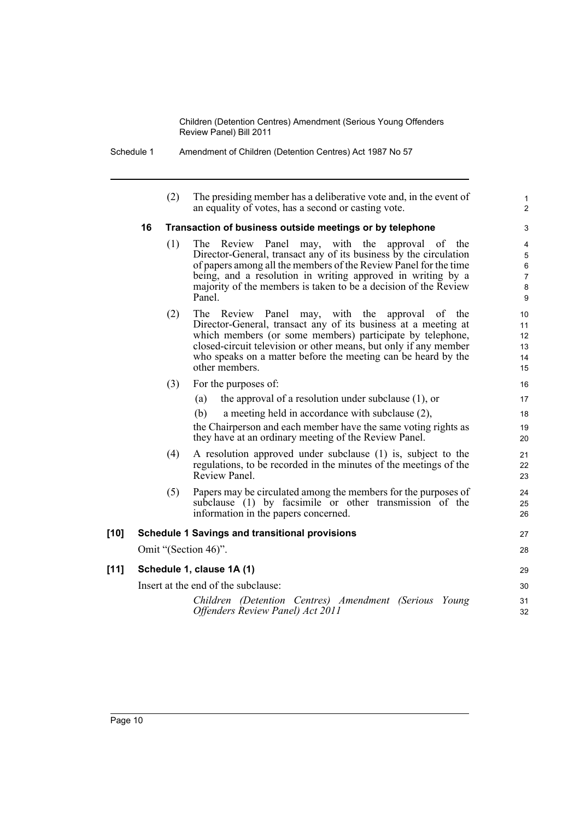Schedule 1 Amendment of Children (Detention Centres) Act 1987 No 57

(2) The presiding member has a deliberative vote and, in the event of an equality of votes, has a second or casting vote.

1  $\overline{2}$ 

### **16 Transaction of business outside meetings or by telephone**

- (1) The Review Panel may, with the approval of the Director-General, transact any of its business by the circulation of papers among all the members of the Review Panel for the time being, and a resolution in writing approved in writing by a majority of the members is taken to be a decision of the Review Panel.
- (2) The Review Panel may, with the approval of the Director-General, transact any of its business at a meeting at which members (or some members) participate by telephone, closed-circuit television or other means, but only if any member who speaks on a matter before the meeting can be heard by the other members.
- (3) For the purposes of:
	- (a) the approval of a resolution under subclause (1), or
	- (b) a meeting held in accordance with subclause (2),

the Chairperson and each member have the same voting rights as they have at an ordinary meeting of the Review Panel.

- (4) A resolution approved under subclause (1) is, subject to the regulations, to be recorded in the minutes of the meetings of the Review Panel.
- (5) Papers may be circulated among the members for the purposes of subclause (1) by facsimile or other transmission of the information in the papers concerned.

### **[10] Schedule 1 Savings and transitional provisions** Omit "(Section 46)".

### **[11] Schedule 1, clause 1A (1)**

Insert at the end of the subclause:

*Children (Detention Centres) Amendment (Serious Young Offenders Review Panel) Act 2011*